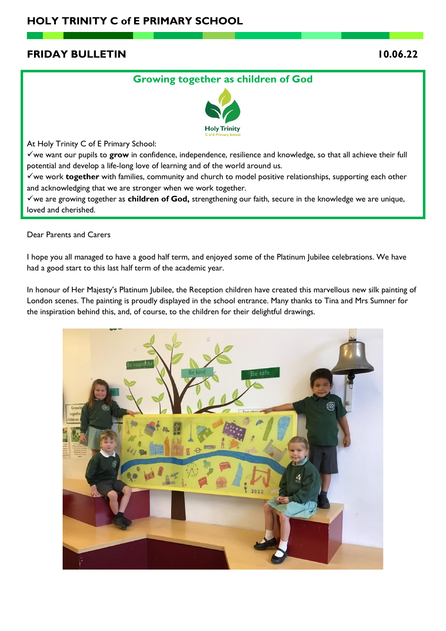# **FRIDAY BULLETIN 10.06.22**

# **Growing together as children of God**



At Holy Trinity C of E Primary School:

✓we want our pupils to **grow** in confidence, independence, resilience and knowledge, so that all achieve their full potential and develop a life-long love of learning and of the world around us.

✓we work **together** with families, community and church to model positive relationships, supporting each other and acknowledging that we are stronger when we work together.

✓we are growing together as **children of God,** strengthening our faith, secure in the knowledge we are unique, loved and cherished.

Dear Parents and Carers

I hope you all managed to have a good half term, and enjoyed some of the Platinum Jubilee celebrations. We have had a good start to this last half term of the academic year.

In honour of Her Majesty's Platinum Jubilee, the Reception children have created this marvellous new silk painting of London scenes. The painting is proudly displayed in the school entrance. Many thanks to Tina and Mrs Sumner for the inspiration behind this, and, of course, to the children for their delightful drawings.

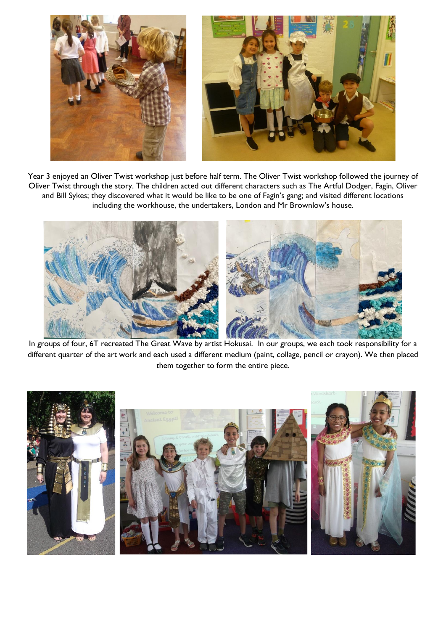

Year 3 enjoyed an Oliver Twist workshop just before half term. The Oliver Twist workshop followed the journey of Oliver Twist through the story. The children acted out different characters such as The Artful Dodger, Fagin, Oliver and Bill Sykes; they discovered what it would be like to be one of Fagin's gang; and visited different locations including the workhouse, the undertakers, London and Mr Brownlow's house.



In groups of four, 6T recreated The Great Wave by artist Hokusai. In our groups, we each took responsibility for a different quarter of the art work and each used a different medium (paint, collage, pencil or crayon). We then placed them together to form the entire piece.

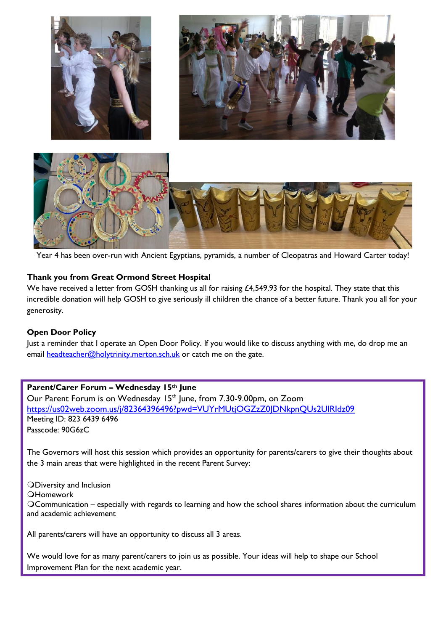

Year 4 has been over-run with Ancient Egyptians, pyramids, a number of Cleopatras and Howard Carter today!

# **Thank you from Great Ormond Street Hospital**

We have received a letter from GOSH thanking us all for raising £4,549.93 for the hospital. They state that this incredible donation will help GOSH to give seriously ill children the chance of a better future. Thank you all for your generosity.

## **Open Door Policy**

Just a reminder that I operate an Open Door Policy. If you would like to discuss anything with me, do drop me an email [headteacher@holytrinity.merton.sch.uk](mailto:headteacher@holytrinity.merton.sch.uk) or catch me on the gate.

## **Parent/Carer Forum – Wednesday 15th June**

Our Parent Forum is on Wednesday 15<sup>th</sup> June, from 7.30-9.00pm, on Zoom <https://us02web.zoom.us/j/82364396496?pwd=VUYrMUtjOGZzZ0JDNkpnQUs2UlRIdz09> Meeting ID: 823 6439 6496 Passcode: 90G6zC

The Governors will host this session which provides an opportunity for parents/carers to give their thoughts about the 3 main areas that were highlighted in the recent Parent Survey:

Diversity and Inclusion **OHomework** Communication – especially with regards to learning and how the school shares information about the curriculum and academic achievement

All parents/carers will have an opportunity to discuss all 3 areas.

We would love for as many parent/carers to join us as possible. Your ideas will help to shape our School Improvement Plan for the next academic year.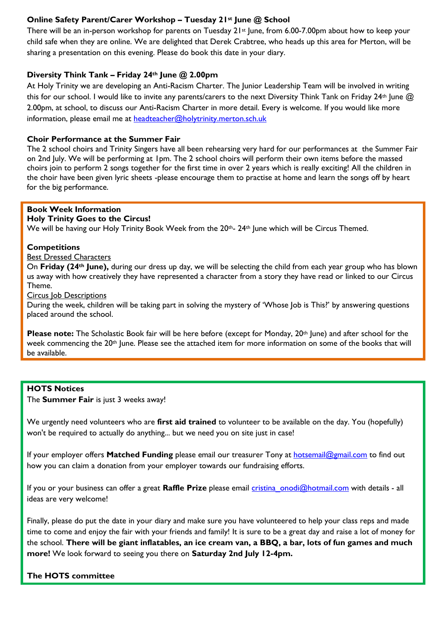# **Online Safety Parent/Carer Workshop – Tuesday 21st June @ School**

There will be an in-person workshop for parents on Tuesday 21st June, from 6.00-7.00pm about how to keep your child safe when they are online. We are delighted that Derek Crabtree, who heads up this area for Merton, will be sharing a presentation on this evening. Please do book this date in your diary.

## **Diversity Think Tank – Friday 24th June @ 2.00pm**

At Holy Trinity we are developing an Anti-Racism Charter. The Junior Leadership Team will be involved in writing this for our school. I would like to invite any parents/carers to the next Diversity Think Tank on Friday 24<sup>th</sup> June @ 2.00pm, at school, to discuss our Anti-Racism Charter in more detail. Every is welcome. If you would like more information, please email me at [headteacher@holytrinity.merton.sch.uk](mailto:headteacher@holytrinity.merton.sch.uk)

#### **Choir Performance at the Summer Fair**

The 2 school choirs and Trinity Singers have all been rehearsing very hard for our performances at the Summer Fair on 2nd July. We will be performing at 1pm. The 2 school choirs will perform their own items before the massed choirs join to perform 2 songs together for the first time in over 2 years which is really exciting! All the children in the choir have been given lyric sheets -please encourage them to practise at home and learn the songs off by heart for the big performance.

## **Book Week Information**

#### **Holy Trinity Goes to the Circus!**

We will be having our Holy Trinity Book Week from the 20<sup>th</sup>- 24<sup>th</sup> June which will be Circus Themed.

#### **Competitions**

#### Best Dressed Characters

On **Friday (24th June),** during our dress up day, we will be selecting the child from each year group who has blown us away with how creatively they have represented a character from a story they have read or linked to our Circus Theme.

#### **Circus Job Descriptions**

During the week, children will be taking part in solving the mystery of 'Whose Job is This?' by answering questions placed around the school.

**Please note:** The Scholastic Book fair will be here before (except for Monday, 20<sup>th</sup> June) and after school for the week commencing the 20<sup>th</sup> June. Please see the attached item for more information on some of the books that will be available.

#### **HOTS Notices**

The **Summer Fair** is just 3 weeks away!

We urgently need volunteers who are **first aid trained** to volunteer to be available on the day. You (hopefully) won't be required to actually do anything... but we need you on site just in case!

If your employer offers **Matched Funding** please email our treasurer Tony at [hotsemail@gmail.com](mailto:hotsemail@gmail.com) to find out how you can claim a donation from your employer towards our fundraising efforts.

If you or your business can offer a great **Raffle Prize** please email [cristina\\_onodi@hotmail.com](mailto:cristina_onodi@hotmail.com) with details - all ideas are very welcome!

Finally, please do put the date in your diary and make sure you have volunteered to help your class reps and made time to come and enjoy the fair with your friends and family! It is sure to be a great day and raise a lot of money for the school. **There will be giant inflatables, an ice cream van, a BBQ, a bar, lots of fun games and much more!** We look forward to seeing you there on **Saturday 2nd July 12-4pm.**

#### **The HOTS committee**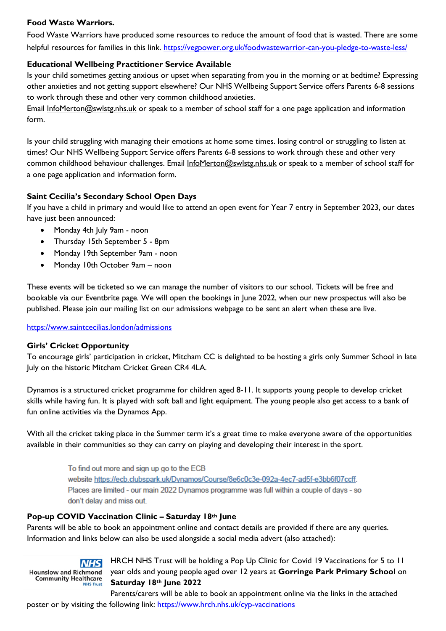# **Food Waste Warriors.**

Food Waste Warriors have produced some resources to reduce the amount of food that is wasted. There are some helpful resources for families in this link.<https://vegpower.org.uk/foodwastewarrior-can-you-pledge-to-waste-less/>

# **Educational Wellbeing Practitioner Service Available**

Is your child sometimes getting anxious or upset when separating from you in the morning or at bedtime? Expressing other anxieties and not getting support elsewhere? Our NHS Wellbeing Support Service offers Parents 6-8 sessions to work through these and other very common childhood anxieties.

Email [InfoMerton@swlstg.nhs.uk](mailto:InfoMerton@swlstg.nhs.uk) or speak to a member of school staff for a one page application and information form.

Is your child struggling with managing their emotions at home some times. losing control or struggling to listen at times? Our NHS Wellbeing Support Service offers Parents 6-8 sessions to work through these and other very common childhood behaviour challenges. Email [InfoMerton@swlstg.nhs.uk](mailto:InfoMerton@swlstg.nhs.uk) or speak to a member of school staff for a one page application and information form.

# **Saint Cecilia's Secondary School Open Days**

If you have a child in primary and would like to attend an open event for Year 7 entry in September 2023, our dates have just been announced:

- Monday 4th July 9am noon
- Thursday 15th September 5 8pm
- Monday 19th September 9am noon
- Monday 10th October 9am noon

These events will be ticketed so we can manage the number of visitors to our school. Tickets will be free and bookable via our Eventbrite page. We will open the bookings in June 2022, when our new prospectus will also be published. Please join our mailing list on our admissions webpage to be sent an alert when these are live.

<https://www.saintcecilias.london/admissions>

## **Girls' Cricket Opportunity**

To encourage girls' participation in cricket, Mitcham CC is delighted to be hosting a girls only Summer School in late July on the historic Mitcham Cricket Green CR4 4LA.

Dynamos is a structured cricket programme for children aged 8-11. It supports young people to develop cricket skills while having fun. It is played with soft ball and light equipment. The young people also get access to a bank of fun online activities via the Dynamos App.

With all the cricket taking place in the Summer term it's a great time to make everyone aware of the opportunities available in their communities so they can carry on playing and developing their interest in the sport.

> To find out more and sign up go to the ECB website https://ecb.clubspark.uk/Dynamos/Course/8e6c0c3e-092a-4ec7-ad5f-e3bb6f07ccff. Places are limited - our main 2022 Dynamos programme was full within a couple of days - so don't delay and miss out.

## **Pop-up COVID Vaccination Clinic – Saturday 18th June**

Parents will be able to book an appointment online and contact details are provided if there are any queries. Information and links below can also be used alongside a social media advert (also attached):

**NHS Hounslow and Richmond Community Healthcare NHS Trust** 

HRCH NHS Trust will be holding a Pop Up Clinic for Covid 19 Vaccinations for 5 to 11 year olds and young people aged over 12 years at **Gorringe Park Primary School** on **Saturday 18th June 2022**

Parents/carers will be able to book an appointment online via the links in the attached poster or by visiting the following link: <https://www.hrch.nhs.uk/cyp-vaccinations>